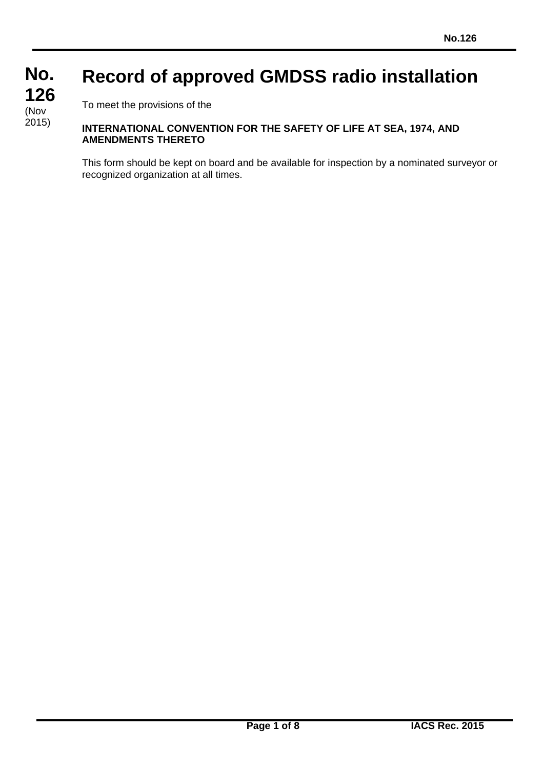## **No. No. 126 126 Record of approved GMDSS radio installation**

To meet the provisions of the

(Nov

2015)

## **INTERNATIONAL CONVENTION FOR THE SAFETY OF LIFE AT SEA, 1974, AND AMENDMENTS THERETO**

This form should be kept on board and be available for inspection by a nominated surveyor or recognized organization at all times.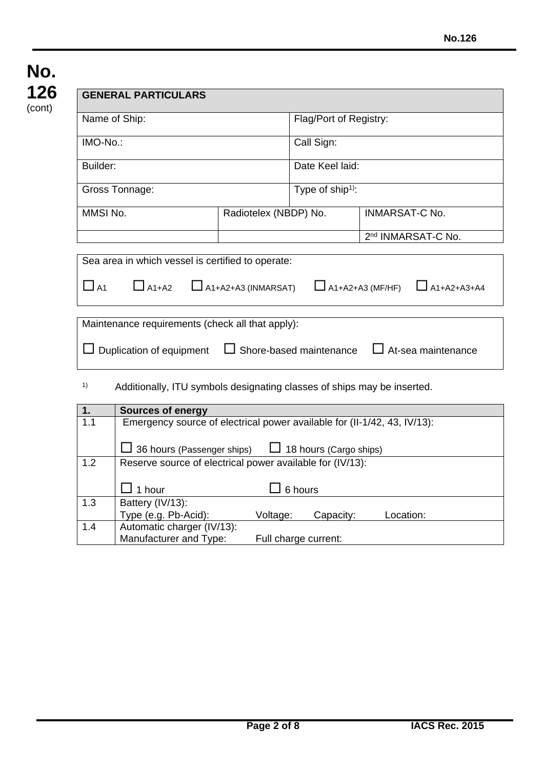|           | Name of Ship:                                                                                          |                                | Flag/Port of Registry:        |                                               |
|-----------|--------------------------------------------------------------------------------------------------------|--------------------------------|-------------------------------|-----------------------------------------------|
| IMO-No.:  |                                                                                                        |                                | Call Sign:                    |                                               |
| Builder:  |                                                                                                        |                                | Date Keel laid:               |                                               |
|           | Gross Tonnage:                                                                                         |                                | Type of $ship1$ :             |                                               |
| MMSI No.  |                                                                                                        | Radiotelex (NBDP) No.          |                               | <b>INMARSAT-C No.</b>                         |
|           |                                                                                                        |                                |                               | 2 <sup>nd</sup> INMARSAT-C No.                |
| $\Box$ A1 | $\Box$ A1+A2<br>Maintenance requirements (check all that apply):                                       | $\Box$ A1+A2+A3 (INMARSAT)     |                               | $\Box$ A1+A2+A3 (MF/HF)<br>$\Box$ A1+A2+A3+A4 |
|           | Duplication of equipment                                                                               | $\Box$ Shore-based maintenance |                               | $\Box$ At-sea maintenance                     |
| 1)        | Additionally, ITU symbols designating classes of ships may be inserted.                                |                                |                               |                                               |
| 1.        | <b>Sources of energy</b>                                                                               |                                |                               |                                               |
| 1.1       | Emergency source of electrical power available for (II-1/42, 43, IV/13):<br>36 hours (Passenger ships) |                                | $\Box$ 18 hours (Cargo ships) |                                               |
| 1.2       | Reserve source of electrical power available for (IV/13):                                              |                                |                               |                                               |
|           | 1 hour                                                                                                 |                                | 6 hours                       |                                               |
| 1.3       | Battery (IV/13):<br>Type (e.g. Pb-Acid):                                                               | Voltage:                       | Capacity:                     | Location:                                     |

Manufacturer and Type: Full charge current: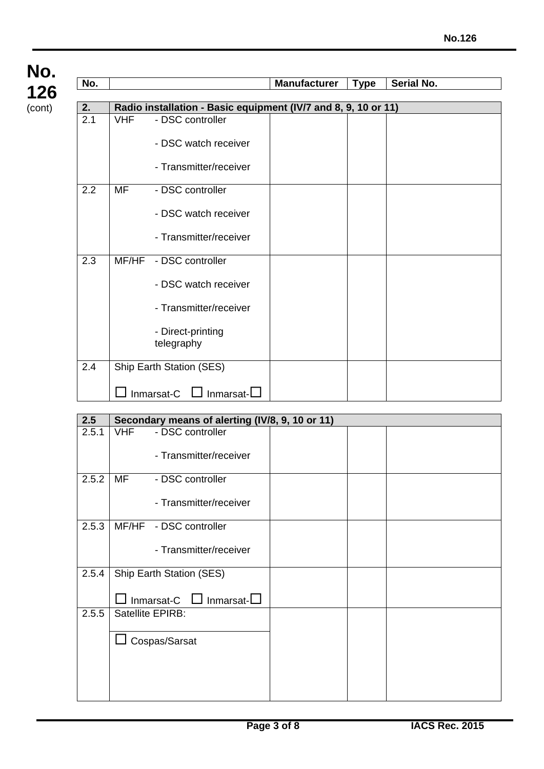| No.              |                                                                | <b>Manufacturer</b> | <b>Type</b> | Serial No. |
|------------------|----------------------------------------------------------------|---------------------|-------------|------------|
| 2.               | Radio installation - Basic equipment (IV/7 and 8, 9, 10 or 11) |                     |             |            |
| $\overline{2.1}$ | <b>VHF</b><br>- DSC controller                                 |                     |             |            |
|                  | - DSC watch receiver                                           |                     |             |            |
|                  | - Transmitter/receiver                                         |                     |             |            |
| 2.2              | <b>MF</b><br>- DSC controller                                  |                     |             |            |
|                  | - DSC watch receiver                                           |                     |             |            |
|                  | - Transmitter/receiver                                         |                     |             |            |
| 2.3              | MF/HF<br>- DSC controller                                      |                     |             |            |
|                  | - DSC watch receiver                                           |                     |             |            |
|                  | - Transmitter/receiver                                         |                     |             |            |
|                  | - Direct-printing<br>telegraphy                                |                     |             |            |
| 2.4              | Ship Earth Station (SES)                                       |                     |             |            |
|                  | Inmarsat-C<br>□ Inmarsat-□                                     |                     |             |            |

| 2.5   | Secondary means of alerting (IV/8, 9, 10 or 11) |  |  |
|-------|-------------------------------------------------|--|--|
| 2.5.1 | <b>VHF</b><br>- DSC controller                  |  |  |
|       | - Transmitter/receiver                          |  |  |
| 2.5.2 | MF<br>- DSC controller                          |  |  |
|       | - Transmitter/receiver                          |  |  |
| 2.5.3 | MF/HF - DSC controller                          |  |  |
|       | - Transmitter/receiver                          |  |  |
| 2.5.4 | Ship Earth Station (SES)                        |  |  |
|       | Inmarsat-C $\Box$ Inmarsat- $\Box$              |  |  |
| 2.5.5 | Satellite EPIRB:                                |  |  |
|       | Cospas/Sarsat                                   |  |  |
|       |                                                 |  |  |
|       |                                                 |  |  |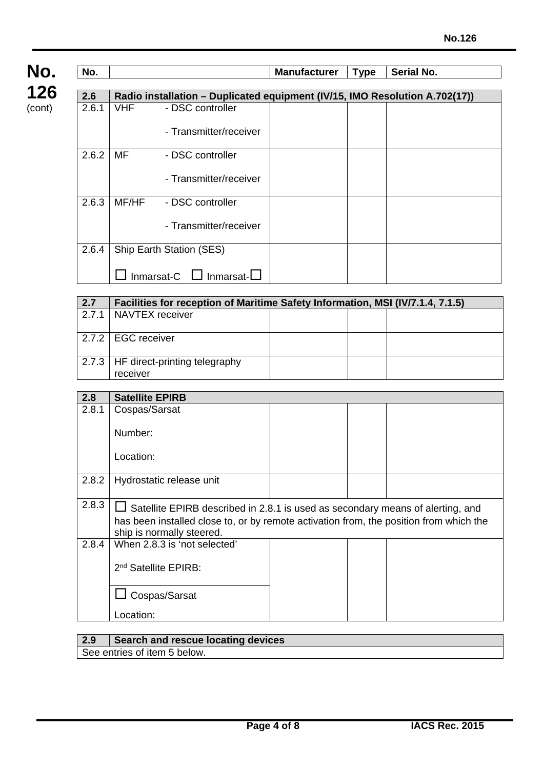

| No.   |       |                                                                             | <b>Manufacturer</b> | <b>Type</b> | Serial No. |
|-------|-------|-----------------------------------------------------------------------------|---------------------|-------------|------------|
|       |       |                                                                             |                     |             |            |
| 2.6   |       | Radio installation - Duplicated equipment (IV/15, IMO Resolution A.702(17)) |                     |             |            |
| 2.6.1 | VHF   | - DSC controller                                                            |                     |             |            |
|       |       | - Transmitter/receiver                                                      |                     |             |            |
| 2.6.2 | MF    | - DSC controller                                                            |                     |             |            |
|       |       | - Transmitter/receiver                                                      |                     |             |            |
| 2.6.3 | MF/HF | - DSC controller                                                            |                     |             |            |
|       |       | - Transmitter/receiver                                                      |                     |             |            |
| 2.6.4 |       | <b>Ship Earth Station (SES)</b>                                             |                     |             |            |
|       |       | Inmarsat-C $\Box$<br>$Inmarsat-L$                                           |                     |             |            |

| 2.7   | Facilities for reception of Maritime Safety Information, MSI (IV/7.1.4, 7.1.5) |  |  |  |  |
|-------|--------------------------------------------------------------------------------|--|--|--|--|
| 2.7.1 | NAVTEX receiver                                                                |  |  |  |  |
|       | 2.7.2   EGC receiver                                                           |  |  |  |  |
|       | 2.7.3   HF direct-printing telegraphy<br>receiver                              |  |  |  |  |

| 2.8   | <b>Satellite EPIRB</b>                                                         |                                                                                        |  |  |  |  |
|-------|--------------------------------------------------------------------------------|----------------------------------------------------------------------------------------|--|--|--|--|
| 2.8.1 | Cospas/Sarsat                                                                  |                                                                                        |  |  |  |  |
|       | Number:                                                                        |                                                                                        |  |  |  |  |
|       | Location:                                                                      |                                                                                        |  |  |  |  |
| 2.8.2 | Hydrostatic release unit                                                       |                                                                                        |  |  |  |  |
| 2.8.3 | Satellite EPIRB described in 2.8.1 is used as secondary means of alerting, and |                                                                                        |  |  |  |  |
|       | ship is normally steered.                                                      | has been installed close to, or by remote activation from, the position from which the |  |  |  |  |
| 2.8.4 | When 2.8.3 is 'not selected'                                                   |                                                                                        |  |  |  |  |
|       | 2 <sup>nd</sup> Satellite EPIRB:                                               |                                                                                        |  |  |  |  |
|       | Cospas/Sarsat                                                                  |                                                                                        |  |  |  |  |
|       | Location:                                                                      |                                                                                        |  |  |  |  |

| 2.9 | $\overline{ }$ Search and rescue locating devices |
|-----|---------------------------------------------------|
|     | See entries of item 5 below.                      |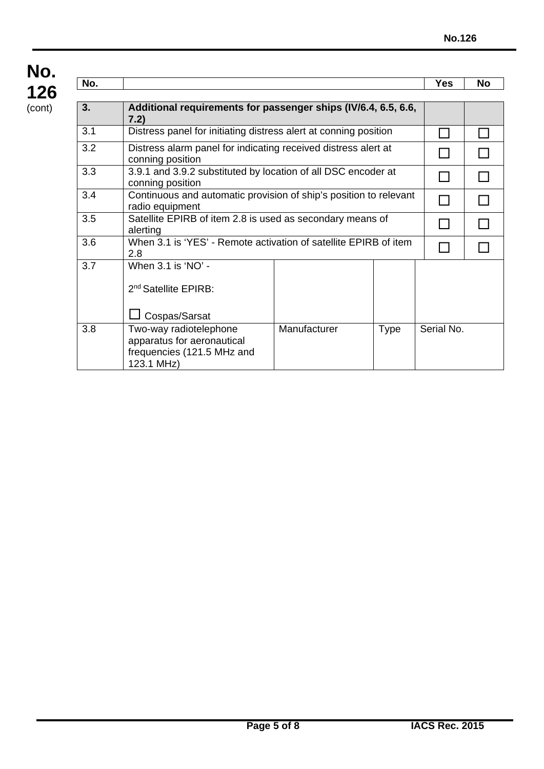| No. |                                                                                                                                               |  |  | <b>Yes</b> | <b>No</b> |
|-----|-----------------------------------------------------------------------------------------------------------------------------------------------|--|--|------------|-----------|
| 3.  | Additional requirements for passenger ships (IV/6.4, 6.5, 6.6,<br>7.2)                                                                        |  |  |            |           |
| 3.1 | Distress panel for initiating distress alert at conning position                                                                              |  |  |            |           |
| 3.2 | Distress alarm panel for indicating received distress alert at<br>conning position                                                            |  |  |            |           |
| 3.3 | 3.9.1 and 3.9.2 substituted by location of all DSC encoder at<br>conning position                                                             |  |  |            |           |
| 3.4 | Continuous and automatic provision of ship's position to relevant<br>radio equipment                                                          |  |  |            |           |
| 3.5 | Satellite EPIRB of item 2.8 is used as secondary means of<br>alerting                                                                         |  |  |            |           |
| 3.6 | When 3.1 is 'YES' - Remote activation of satellite EPIRB of item<br>2.8                                                                       |  |  |            |           |
| 3.7 | When $3.1$ is 'NO' -<br>2 <sup>nd</sup> Satellite EPIRB:<br>Cospas/Sarsat                                                                     |  |  |            |           |
| 3.8 | Serial No.<br>Manufacturer<br>Two-way radiotelephone<br><b>Type</b><br>apparatus for aeronautical<br>frequencies (121.5 MHz and<br>123.1 MHz) |  |  |            |           |

**No.**

**126** (cont)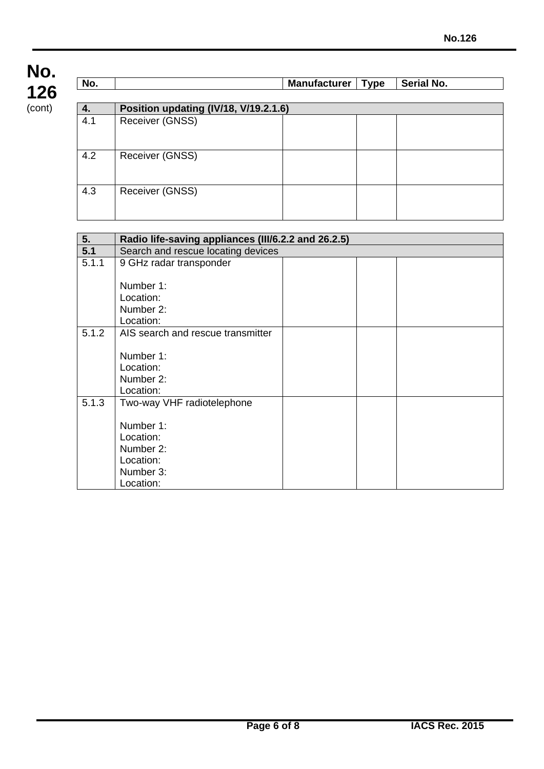| No. |                                       | <b>Manufacturer</b> | Type | Serial No. |
|-----|---------------------------------------|---------------------|------|------------|
|     |                                       |                     |      |            |
| 4.  | Position updating (IV/18, V/19.2.1.6) |                     |      |            |
| 4.1 | Receiver (GNSS)                       |                     |      |            |
| 4.2 | Receiver (GNSS)                       |                     |      |            |
| 4.3 | Receiver (GNSS)                       |                     |      |            |

| 5.    | Radio life-saving appliances (III/6.2.2 and 26.2.5) |  |  |
|-------|-----------------------------------------------------|--|--|
| 5.1   | Search and rescue locating devices                  |  |  |
| 5.1.1 | 9 GHz radar transponder                             |  |  |
|       |                                                     |  |  |
|       | Number 1:                                           |  |  |
|       | Location:                                           |  |  |
|       | Number 2:                                           |  |  |
|       | Location:                                           |  |  |
| 5.1.2 | AIS search and rescue transmitter                   |  |  |
|       |                                                     |  |  |
|       | Number 1:                                           |  |  |
|       | Location:                                           |  |  |
|       | Number 2:                                           |  |  |
|       | Location:                                           |  |  |
| 5.1.3 | Two-way VHF radiotelephone                          |  |  |
|       |                                                     |  |  |
|       | Number 1:                                           |  |  |
|       | Location:                                           |  |  |
|       | Number 2:                                           |  |  |
|       | Location:                                           |  |  |
|       | Number 3:                                           |  |  |
|       | Location:                                           |  |  |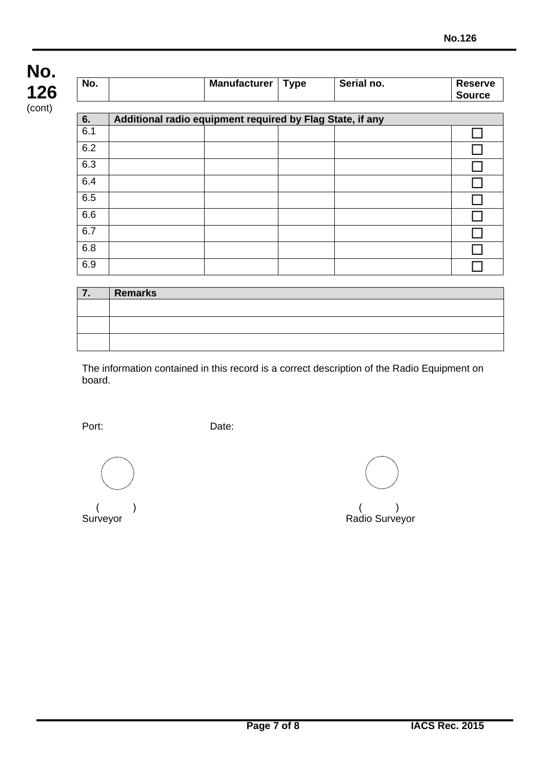| No. |                                                           | <b>Manufacturer</b> | <b>Type</b> | Serial no. | <b>Reserve</b><br><b>Source</b> |
|-----|-----------------------------------------------------------|---------------------|-------------|------------|---------------------------------|
| 6.  | Additional radio equipment required by Flag State, if any |                     |             |            |                                 |
| 6.1 |                                                           |                     |             |            |                                 |
| 6.2 |                                                           |                     |             |            |                                 |
| 6.3 |                                                           |                     |             |            |                                 |
| 6.4 |                                                           |                     |             |            |                                 |
| 6.5 |                                                           |                     |             |            |                                 |
| 6.6 |                                                           |                     |             |            |                                 |
| 6.7 |                                                           |                     |             |            |                                 |
| 6.8 |                                                           |                     |             |            |                                 |
| 6.9 |                                                           |                     |             |            |                                 |

| . . | <b>Remarks</b> |
|-----|----------------|
|     |                |
|     |                |
|     |                |
|     |                |

The information contained in this record is a correct description of the Radio Equipment on board.

Port: Date:

 $($  ) and  $($   $)$ Surveyor **Surveyor** Radio Surveyor